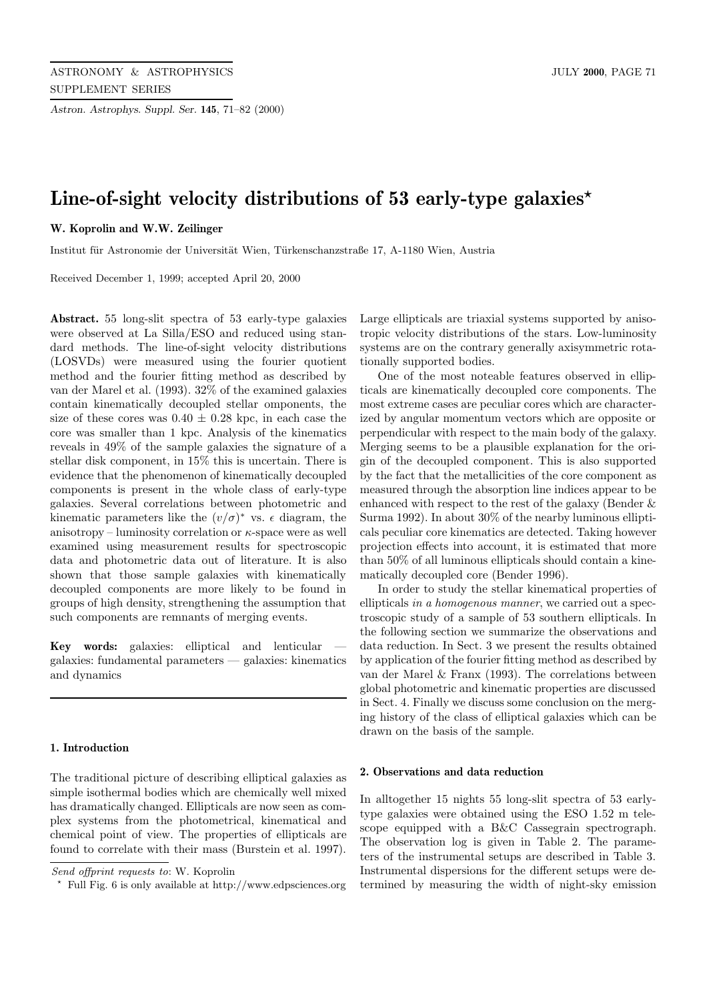*Astron. Astrophys. Suppl. Ser.* **145**, 71–82 (2000)

# **Line-of-sight velocity distributions of 53 early-type galaxies***?*

# **W. Koprolin and W.W. Zeilinger**

Institut für Astronomie der Universität Wien, Türkenschanzstraße 17, A-1180 Wien, Austria

Received December 1, 1999; accepted April 20, 2000

**Abstract.** 55 long-slit spectra of 53 early-type galaxies were observed at La Silla/ESO and reduced using standard methods. The line-of-sight velocity distributions (LOSVDs) were measured using the fourier quotient method and the fourier fitting method as described by van der Marel et al. (1993). 32% of the examined galaxies contain kinematically decoupled stellar omponents, the size of these cores was  $0.40 \pm 0.28$  kpc, in each case the core was smaller than 1 kpc. Analysis of the kinematics reveals in 49% of the sample galaxies the signature of a stellar disk component, in 15% this is uncertain. There is evidence that the phenomenon of kinematically decoupled components is present in the whole class of early-type galaxies. Several correlations between photometric and kinematic parameters like the  $(v/\sigma)^*$  vs.  $\epsilon$  diagram, the anisotropy – luminosity correlation or  $\kappa$ -space were as well examined using measurement results for spectroscopic data and photometric data out of literature. It is also shown that those sample galaxies with kinematically decoupled components are more likely to be found in groups of high density, strengthening the assumption that such components are remnants of merging events.

Key words: galaxies: elliptical and lenticular galaxies: fundamental parameters — galaxies: kinematics and dynamics

# **1. Introduction**

The traditional picture of describing elliptical galaxies as simple isothermal bodies which are chemically well mixed has dramatically changed. Ellipticals are now seen as complex systems from the photometrical, kinematical and chemical point of view. The properties of ellipticals are found to correlate with their mass (Burstein et al. 1997).

Large ellipticals are triaxial systems supported by anisotropic velocity distributions of the stars. Low-luminosity systems are on the contrary generally axisymmetric rotationally supported bodies.

One of the most noteable features observed in ellipticals are kinematically decoupled core components. The most extreme cases are peculiar cores which are characterized by angular momentum vectors which are opposite or perpendicular with respect to the main body of the galaxy. Merging seems to be a plausible explanation for the origin of the decoupled component. This is also supported by the fact that the metallicities of the core component as measured through the absorption line indices appear to be enhanced with respect to the rest of the galaxy (Bender & Surma 1992). In about 30% of the nearby luminous ellipticals peculiar core kinematics are detected. Taking however projection effects into account, it is estimated that more than 50% of all luminous ellipticals should contain a kinematically decoupled core (Bender 1996).

In order to study the stellar kinematical properties of ellipticals in a homogenous manner, we carried out a spectroscopic study of a sample of 53 southern ellipticals. In the following section we summarize the observations and data reduction. In Sect. 3 we present the results obtained by application of the fourier fitting method as described by van der Marel & Franx (1993). The correlations between global photometric and kinematic properties are discussed in Sect. 4. Finally we discuss some conclusion on the merging history of the class of elliptical galaxies which can be drawn on the basis of the sample.

## **2. Observations and data reduction**

In alltogether 15 nights 55 long-slit spectra of 53 earlytype galaxies were obtained using the ESO 1.52 m telescope equipped with a B&C Cassegrain spectrograph. The observation log is given in Table 2. The parameters of the instrumental setups are described in Table 3. Instrumental dispersions for the different setups were determined by measuring the width of night-sky emission

Send offprint requests to: W. Koprolin

<sup>?</sup> Full Fig. 6 is only available at http://www.edpsciences.org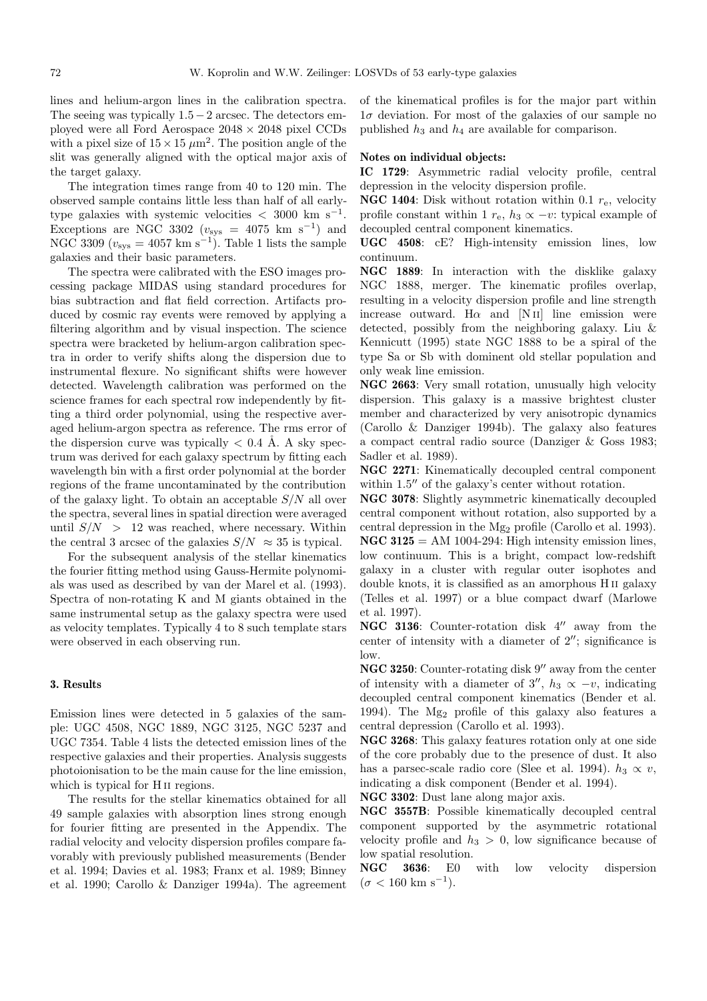lines and helium-argon lines in the calibration spectra. The seeing was typically  $1.5-2$  arcsec. The detectors employed were all Ford Aerospace  $2048 \times 2048$  pixel CCDs with a pixel size of  $15 \times 15 \ \mu m^2$ . The position angle of the slit was generally aligned with the optical major axis of the target galaxy.

The integration times range from 40 to 120 min. The observed sample contains little less than half of all earlytype galaxies with systemic velocities  $\langle 3000 \text{ km s}^{-1}$ . Exceptions are NGC 3302 ( $v_{\rm sys}$  = 4075 km s<sup>-1</sup>) and NGC 3309 ( $v_{\rm sys} = 4057$  km s<sup>-1</sup>). Table 1 lists the sample galaxies and their basic parameters.

The spectra were calibrated with the ESO images processing package MIDAS using standard procedures for bias subtraction and flat field correction. Artifacts produced by cosmic ray events were removed by applying a filtering algorithm and by visual inspection. The science spectra were bracketed by helium-argon calibration spectra in order to verify shifts along the dispersion due to instrumental flexure. No significant shifts were however detected. Wavelength calibration was performed on the science frames for each spectral row independently by fitting a third order polynomial, using the respective averaged helium-argon spectra as reference. The rms error of the dispersion curve was typically  $< 0.4$  Å. A sky spectrum was derived for each galaxy spectrum by fitting each wavelength bin with a first order polynomial at the border regions of the frame uncontaminated by the contribution of the galaxy light. To obtain an acceptable  $S/N$  all over the spectra, several lines in spatial direction were averaged until  $S/N > 12$  was reached, where necessary. Within the central 3 arcsec of the galaxies  $S/N \approx 35$  is typical.

For the subsequent analysis of the stellar kinematics the fourier fitting method using Gauss-Hermite polynomials was used as described by van der Marel et al. (1993). Spectra of non-rotating K and M giants obtained in the same instrumental setup as the galaxy spectra were used as velocity templates. Typically 4 to 8 such template stars were observed in each observing run.

#### **3. Results**

Emission lines were detected in 5 galaxies of the sample: UGC 4508, NGC 1889, NGC 3125, NGC 5237 and UGC 7354. Table 4 lists the detected emission lines of the respective galaxies and their properties. Analysis suggests photoionisation to be the main cause for the line emission, which is typical for H<sub>II</sub> regions.

The results for the stellar kinematics obtained for all 49 sample galaxies with absorption lines strong enough for fourier fitting are presented in the Appendix. The radial velocity and velocity dispersion profiles compare favorably with previously published measurements (Bender et al. 1994; Davies et al. 1983; Franx et al. 1989; Binney et al. 1990; Carollo & Danziger 1994a). The agreement of the kinematical profiles is for the major part within  $1\sigma$  deviation. For most of the galaxies of our sample no published  $h_3$  and  $h_4$  are available for comparison.

### **Notes on individual objects:**

**IC 1729**: Asymmetric radial velocity profile, central depression in the velocity dispersion profile.

**NGC 1404**: Disk without rotation within 0.1  $r_e$ , velocity profile constant within 1  $r_e$ ,  $h_3 \propto -v$ : typical example of decoupled central component kinematics.

**UGC 4508**: cE? High-intensity emission lines, low continuum.

**NGC 1889**: In interaction with the disklike galaxy NGC 1888, merger. The kinematic profiles overlap, resulting in a velocity dispersion profile and line strength increase outward. H $\alpha$  and [N II] line emission were detected, possibly from the neighboring galaxy. Liu & Kennicutt (1995) state NGC 1888 to be a spiral of the type Sa or Sb with dominent old stellar population and only weak line emission.

**NGC 2663**: Very small rotation, unusually high velocity dispersion. This galaxy is a massive brightest cluster member and characterized by very anisotropic dynamics (Carollo & Danziger 1994b). The galaxy also features a compact central radio source (Danziger & Goss 1983; Sadler et al. 1989).

**NGC 2271**: Kinematically decoupled central component within  $1.5$ <sup> $\prime\prime$ </sup> of the galaxy's center without rotation.

**NGC 3078**: Slightly asymmetric kinematically decoupled central component without rotation, also supported by a central depression in the Mg<sup>2</sup> profile (Carollo et al. 1993).  $NGC 3125 = AM 1004-294$ : High intensity emission lines, low continuum. This is a bright, compact low-redshift galaxy in a cluster with regular outer isophotes and double knots, it is classified as an amorphous H ii galaxy (Telles et al. 1997) or a blue compact dwarf (Marlowe et al. 1997).

**NGC 3136**: Counter-rotation disk 4<sup>"</sup> away from the center of intensity with a diameter of  $2''$ ; significance is low.

**NGC 3250**: Counter-rotating disk 9" away from the center of intensity with a diameter of 3'',  $h_3 \propto -v$ , indicating decoupled central component kinematics (Bender et al. 1994). The Mg<sup>2</sup> profile of this galaxy also features a central depression (Carollo et al. 1993).

**NGC 3268**: This galaxy features rotation only at one side of the core probably due to the presence of dust. It also has a parsec-scale radio core (Slee et al. 1994).  $h_3 \propto v$ , indicating a disk component (Bender et al. 1994).

**NGC 3302**: Dust lane along major axis.

**NGC 3557B**: Possible kinematically decoupled central component supported by the asymmetric rotational velocity profile and  $h_3 > 0$ , low significance because of low spatial resolution.

**NGC 3636**: E0 with low velocity dispersion  $(\sigma < 160 \text{ km s}^{-1}).$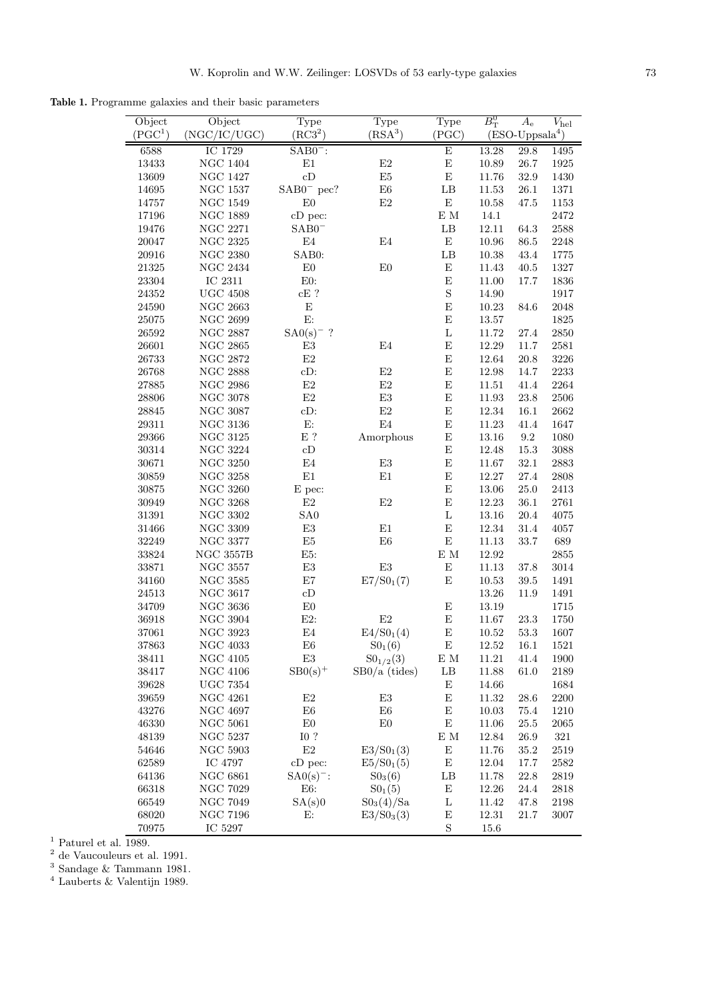**Table 1.** Programme galaxies and their basic parameters

| Object<br>(PGC <sup>1</sup> ) | Object<br>(NGC/IC/UGC) | Type<br>(RC3 <sup>2</sup> ) | Type<br>(RSA <sup>3</sup> ) | Type<br>(PGC) | $B_{\rm T}^0$ | $A_{\rm e}$<br>$(ESO-Uppsala4)$ | $V_{\rm hel}$ |
|-------------------------------|------------------------|-----------------------------|-----------------------------|---------------|---------------|---------------------------------|---------------|
|                               |                        |                             |                             |               |               |                                 |               |
| 6588                          | IC 1729                | $SAB0^-$ :                  |                             | E             | 13.28         | 29.8                            | 1495          |
| 13433                         | NGC $1404\,$           | $\rm E1$                    | E2                          | $\mathbf E$   | 10.89         | $26.7\,$                        | $1925\,$      |
| 13609                         | <b>NGC 1427</b>        | cD                          | $\rm E5$                    | E             | 11.76         | 32.9                            | 1430          |
| 14695                         | $\rm NGC$ 1537         | $SAB0^-$ pec?               | ${\rm E}6$                  | $\rm{LB}$     | 11.53         | 26.1                            | 1371          |
| $14757\,$                     | <b>NGC 1549</b>        | E <sub>0</sub>              | $\rm E2$                    | E             | $10.58\,$     | 47.5                            | 1153          |
| 17196                         | <b>NGC 1889</b>        | cD pec:                     |                             | E M           | 14.1          |                                 | 2472          |
| 19476                         | <b>NGC 2271</b>        | $SAB0^-$                    |                             | $\rm{LB}$     | 12.11         | 64.3                            | 2588          |
| 20047                         | <b>NGC 2325</b>        | E4                          | E4                          | ${\bf E}$     | 10.96         | $86.5\,$                        | $2248\,$      |
| 20916                         | $\rm NGC$ $\,2380$     | SAB0:                       |                             | $\rm{LB}$     | 10.38         | 43.4                            | $1775\,$      |
| $\boldsymbol{21325}$          | <b>NGC 2434</b>        | E <sub>0</sub>              | E0                          | E             | 11.43         | 40.5                            | 1327          |
| 23304                         | IC 2311                | E0:                         |                             | $\mathbf E$   | 11.00         | 17.7                            | 1836          |
| $\boldsymbol{24352}$          | $UGC$ $4508\,$         | $cE$ ?                      |                             | $\mathbf S$   | 14.90         |                                 | 1917          |
| 24590                         | <b>NGC 2663</b>        | ${\rm E}$                   |                             | $\mathbf E$   | 10.23         | 84.6                            | 2048          |
| $25075\,$                     | <b>NGC 2699</b>        | E:                          |                             | $\mathbf E$   | $13.57\,$     |                                 | $1825\,$      |
| $26592\,$                     | <b>NGC 2887</b>        | $SAO(s)^-$ ?                |                             | $\mathbf L$   | 11.72         | 27.4                            | $2850\,$      |
| 26601                         | <b>NGC 2865</b>        | E3                          | E4                          | E             | $12.29\,$     | 11.7                            | $2581\,$      |
| 26733                         | NGC 2872               | $\mathrm{E}2$               |                             | Ε             | 12.64         | 20.8                            | 3226          |
| 26768                         | <b>NGC 2888</b>        | cD:                         | E2                          | E             | 12.98         | 14.7                            | 2233          |
| $\boldsymbol{27885}$          | <b>NGC 2986</b>        | $\mathrm{E}2$               | $\rm E2$                    | $\mathbf E$   | 11.51         | 41.4                            | 2264          |
| 28806                         | $\rm NGC~3078$         | $\mathrm{E}2$               | $\mathrm{E}3$               | $\mathbf E$   | $11.93\,$     | 23.8                            | $2506\,$      |
| 28845                         | <b>NGC 3087</b>        | $cD$ :                      | $\mathrm{E}2$               | $\mathbf E$   | $12.34\,$     | 16.1                            | 2662          |
| 29311                         | <b>NGC 3136</b>        | ${\rm E}$                   | $\mathrm{E}4$               | $\mathbf E$   | 11.23         | 41.4                            | 1647          |
| 29366                         | <b>NGC 3125</b>        | $\to$ ?                     | Amorphous                   | ${\rm E}$     | 13.16         | $\ \, 9.2$                      | 1080          |
| 30314                         | <b>NGC 3224</b>        | cD                          |                             | E             | 12.48         | 15.3                            | 3088          |
| 30671                         | <b>NGC 3250</b>        | $\mathrm{E}4$               | $\mathrm{E}3$               | $\mathbf E$   | 11.67         | $32.1\,$                        | 2883          |
| 30859                         | $\rm NGC~3258$         | $\rm E1$                    | $\rm E1$                    | $\mathbf E$   | 12.27         | 27.4                            | 2808          |
| $30875\,$                     | NGC $3260\,$           | E pec:                      |                             | E             | $13.06\,$     | $25.0\,$                        | $2413\,$      |
| 30949                         | <b>NGC 3268</b>        | $\mathrm{E}2$               | $\rm E2$                    | E             | 12.23         | 36.1                            | $2761\,$      |
| $31391\,$                     | <b>NGC 3302</b>        | SA <sub>0</sub>             |                             | L             | $13.16\,$     | 20.4                            | 4075          |
| 31466                         | <b>NGC 3309</b>        | $\mathrm{E}3$               | E1                          | E             | $12.34\,$     | 31.4                            | 4057          |
| 32249                         | <b>NGC 3377</b>        | $\rm{E}5$                   | E6                          | $\mathbf E$   | 11.13         | 33.7                            | 689           |
| 33824                         | <b>NGC 3557B</b>       | E5:                         |                             | $\to$ M       | 12.92         |                                 | $2855\,$      |
| 33871                         | <b>NGC 3557</b>        | E3                          | $\mathrm{E}3$               | $\mathbf E$   | 11.13         | 37.8                            | $3014\,$      |
| 34160                         | <b>NGC 3585</b>        | E7                          | $E7/S0_1(7)$                | E             | 10.53         | $39.5\,$                        | 1491          |
| $24513\,$                     | <b>NGC 3617</b>        | cD                          |                             |               | 13.26         | 11.9                            | 1491          |
| 34709                         | <b>NGC 3636</b>        | ${\rm E}0$                  |                             | $\mathbf E$   | 13.19         |                                 | $1715\,$      |
| 36918                         | $\rm NGC~3904$         | $E2$ :                      | E2                          | $\mathbf E$   | 11.67         | 23.3                            | 1750          |
| 37061                         | <b>NGC 3923</b>        | $\mathrm{E}4$               | E4/S01(4)                   | E             | 10.52         | 53.3                            | 1607          |
| 37863                         | NGC $4033\,$           | ${\rm E}6$                  | $S0_1(6)$                   | E             | $12.52\,$     | 16.1                            | 1521          |
| 38411                         | <b>NGC 4105</b>        | E3                          | $S0_{1/2}(3)$               | E M           | 11.21         | 41.4                            | 1900          |
| 38417                         | NGC 4106               | $SBO(s)^+$                  | $SB0/a$ (tides)             | LB            | 11.88         | 61.0                            | 2189          |
| 39628                         | <b>UGC 7354</b>        |                             |                             | E             | 14.66         |                                 | 1684          |
| 39659                         | <b>NGC 4261</b>        | E2                          | E3                          | E             | 11.32         | 28.6                            | 2200          |
| 43276                         | <b>NGC 4697</b>        | E6                          | E6                          | E             | 10.03         | 75.4                            | 1210          |
| 46330                         | NGC 5061               | E0                          | E0                          | E             | 11.06         | 25.5                            | 2065          |
| 48139                         | NGC 5237               | $I0$ ?                      |                             | $\to$ M       | 12.84         | 26.9                            | 321           |
| 54646                         | <b>NGC 5903</b>        | $\rm E2$                    | $E3/S0_1(3)$                | E             | 11.76         | 35.2                            | 2519          |
| 62589                         | IC 4797                | $cD$ pec:                   | $E5/S0_1(5)$                | ${\rm E}$     | 12.04         | 17.7                            | 2582          |
| 64136                         | NGC $6861\,$           | $SAO(s)^{-}$ :              | $S0_3(6)$                   | LB            | 11.78         | 22.8                            | 2819          |
| 66318                         | NGC 7029               | E6:                         | $S0_1(5)$                   | E             | 12.26         | 24.4                            | 2818          |
| 66549                         | NGC 7049               | SA(s)0                      | $S0_3(4)/Sa$                | L             | 11.42         | 47.8                            | 2198          |
| 68020                         | NGC $7196\,$           | Е:                          | E3/S0 <sub>3</sub> (3)      | E             | 12.31         | 21.7                            | 3007          |
| 70975                         | IC 5297                |                             |                             | $\mathbf S$   | 15.6          |                                 |               |

 $<sup>1</sup>$  Paturel et al. 1989.</sup>

 $2$  de Vaucouleurs et al. 1991.

 $3$  Sandage & Tammann 1981.

 $<sup>4</sup>$  Lauberts & Valentijn 1989.</sup>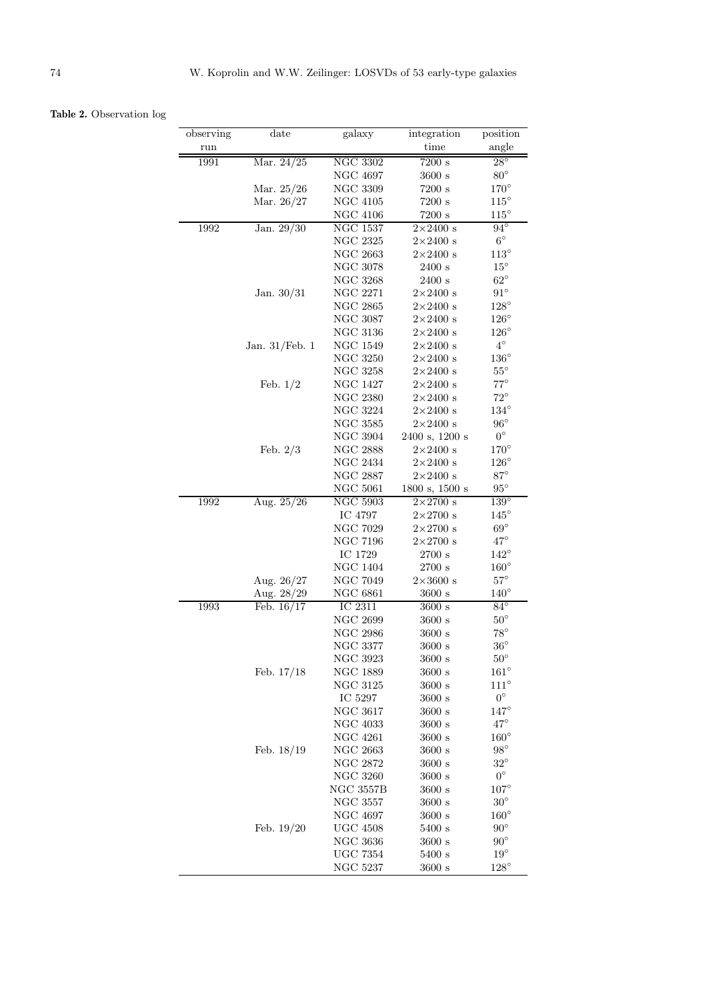**Table 2.** Observation log

| observing | date              | galaxy                | integration      | position                    |
|-----------|-------------------|-----------------------|------------------|-----------------------------|
| run       |                   |                       | time             | angle                       |
| 1991      | Mar. 24/25        | <b>NGC 3302</b>       | 7200 s           | $28^{\circ}$                |
|           |                   | NGC 4697              | 3600 s           | $80^{\circ}$                |
|           | Mar. 25/26        | NGC 3309              | 7200 s           | $170^{\circ}$               |
|           | Mar. 26/27        | NGC 4105              | 7200 s           | $115^\circ$                 |
|           |                   | <b>NGC 4106</b>       | 7200 s           | $115^{\circ}$               |
| 1992      | Jan. 29/30        | NGC 1537              | $2\times2400$ s  | $94^{\circ}$                |
|           |                   | <b>NGC 2325</b>       | $2\times2400$ s  | $6^\circ$                   |
|           |                   | <b>NGC 2663</b>       | $2\times2400$ s  | $113^\circ$                 |
|           |                   | <b>NGC 3078</b>       | 2400 s           | $15^{\circ}$                |
|           |                   | NGC 3268              | 2400 s           | $62^\circ$                  |
|           | Jan. $30/31$      | <b>NGC 2271</b>       | $2\times2400$ s  | $91^{\circ}$                |
|           |                   | NGC $2865\,$          | $2\times 2400$ s | $128^\circ$                 |
|           |                   | <b>NGC 3087</b>       | $2\times2400$ s  | $126^{\circ}$               |
|           |                   | <b>NGC 3136</b>       | $2\times2400$ s  | $126^\circ$                 |
|           | Jan. $31$ /Feb. 1 | NGC 1549              | $2\times2400$ s  | $4^{\circ}$                 |
|           |                   | <b>NGC 3250</b>       | $2\times2400$ s  | $136^{\circ}$               |
|           |                   | <b>NGC 3258</b>       | $2\times2400$ s  | $55^{\circ}$                |
|           | Feb. $1/2$        | NGC 1427              | $2\times2400$ s  | $77^\circ$                  |
|           |                   | <b>NGC 2380</b>       | $2\times2400$ s  | $72^{\circ}$                |
|           |                   | <b>NGC 3224</b>       | $2\times2400$ s  | $134^\circ$                 |
|           |                   | <b>NGC 3585</b>       | $2\times2400$ s  | $96^{\circ}$                |
|           |                   | <b>NGC 3904</b>       | 2400 s, 1200 s   | $0^\circ$                   |
|           | Feb. $2/3$        | <b>NGC 2888</b>       | $2\times2400$ s  | $170^{\circ}$               |
|           |                   | <b>NGC 2434</b>       | $2\times2400$ s  | $126^{\circ}$               |
|           |                   | <b>NGC 2887</b>       | $2\times2400$ s  | $87^\circ$                  |
|           |                   | $\rm NGC~5061$        | 1800 s, 1500 s   | $95^{\circ}$                |
| 1992      | Aug. 25/26        | NGC 5903              | $2\times2700$ s  | $139^\circ$                 |
|           |                   | IC 4797               | $2\times2700$ s  | $145^{\circ}$               |
|           |                   | <b>NGC 7029</b>       | $2\times2700$ s  | $69^\circ$                  |
|           |                   | <b>NGC 7196</b>       | $2\times2700$ s  | $47^\circ$                  |
|           |                   | IC 1729               | 2700 s           | $142^{\circ}$               |
|           |                   | <b>NGC 1404</b>       | 2700 s           | $160^\circ$                 |
|           | Aug. 26/27        | NGC 7049              | $2\times3600$ s  | $57^\circ$                  |
|           | Aug. 28/29        | NGC 6861              | $3600 \text{ s}$ | $140^\circ$                 |
| 1993      | Feb. $16/17$      | IC 2311               | 3600 s           | $84^{\circ}$                |
|           |                   | <b>NGC 2699</b>       | 3600 s           | $50^{\circ}$                |
|           |                   | <b>NGC 2986</b>       | $3600 \text{ s}$ | $78^{\circ}$                |
|           |                   |                       | 3600 s           | $36^{\circ}$                |
|           |                   | <b>NGC 3377</b>       |                  |                             |
|           |                   | NGC 3923              | 3600 s           | $50^{\circ}$<br>$161^\circ$ |
|           | Feb. $17/18$      | NGC 1889              | 3600 s           | $111^{\circ}$               |
|           |                   | NGC 3125              | 3600 s           | $0^\circ$                   |
|           |                   | IC 5297<br>NGC $3617$ | 3600 s           | $147^\circ$                 |
|           |                   |                       | $3600 \text{ s}$ |                             |
|           |                   | NGC 4033              | $3600 \text{ s}$ | $47^{\circ}$                |
|           |                   | NGC 4261              | 3600 s           | $160^{\circ}$               |
|           | Feb. $18/19$      | <b>NGC 2663</b>       | $3600 \text{ s}$ | $98^\circ$                  |
|           |                   | NGC 2872              | 3600 s           | $32^{\circ}$                |
|           |                   | $\rm NGC~3260$        | 3600 s           | $0^{\circ}$                 |
|           |                   | NGC 3557B             | $3600 \text{ s}$ | $107^\circ$                 |
|           |                   | <b>NGC 3557</b>       | 3600 s           | $30^{\circ}$                |
|           |                   | NGC 4697              | $3600 \text{ s}$ | $160^{\circ}$               |
|           | Feb. $19/20$      | <b>UGC 4508</b>       | 5400 s           | $90^{\circ}$                |
|           |                   | $\rm NGC~3636$        | $3600 \text{ s}$ | $90^\circ$                  |
|           |                   | UGC 7354              | $5400$ s         | $19^{\circ}$                |
|           |                   | NGC 5237              | 3600 s           | $128^\circ$                 |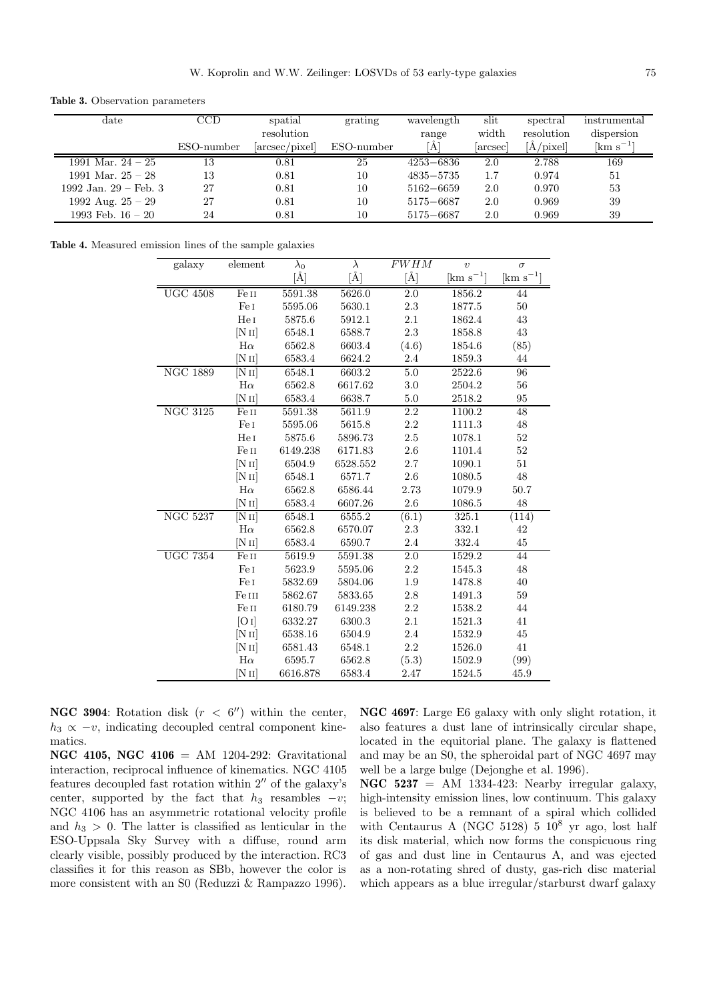**Table 3.** Observation parameters

| date                    | CCD        | spatial        | grating    | wavelength    | slit   | spectral        | instrumental            |
|-------------------------|------------|----------------|------------|---------------|--------|-----------------|-------------------------|
|                         |            | resolution     |            | range         | width  | resolution      | dispersion              |
|                         | ESO-number | [arcsec/pixel] | ESO-number | A]            | arcsec | $\rm [A/pixel]$ | $\mathrm{[km\;s^{-1}]}$ |
| 1991 Mar. $24 - 25$     | 13         | 0.81           | 25         | $4253 - 6836$ | 2.0    | 2.788           | 169                     |
| 1991 Mar. $25 - 28$     | 13         | 0.81           | 10         | $4835 - 5735$ | 1.7    | 0.974           | 51                      |
| 1992 Jan. $29$ – Feb. 3 | 27         | 0.81           | 10         | $5162 - 6659$ | 2.0    | 0.970           | 53                      |
| 1992 Aug. $25 - 29$     | 27         | 0.81           | 10         | 5175-6687     | 2.0    | 0.969           | 39                      |
| 1993 Feb. $16-20$       | 24         | 0.81           | 10         | 5175-6687     | 2.0    | 0.969           | 39                      |

**Table 4.** Measured emission lines of the sample galaxies

| galaxy          | element            | $\lambda_0$ | $\lambda$      | <b>FWHM</b> | $\boldsymbol{\eta}$ | $\sigma$          |
|-----------------|--------------------|-------------|----------------|-------------|---------------------|-------------------|
|                 |                    | $[\AA]$     | $[\text{\AA}]$ | $[\AA]$     | $\rm [km~s^{-1}]$   | $\rm [km~s^{-1}]$ |
| <b>UGC 4508</b> | Fe II              | 5591.38     | 5626.0         | 2.0         | 1856.2              | 44                |
|                 | Fe I               | 5595.06     | 5630.1         | $2.3\,$     | 1877.5              | $50\,$            |
|                 | Hel                | 5875.6      | 5912.1         | $2.1\,$     | 1862.4              | $43\,$            |
|                 | [N <sub>II</sub> ] | 6548.1      | 6588.7         | 2.3         | 1858.8              | $43\,$            |
|                 | $H\alpha$          | 6562.8      | 6603.4         | (4.6)       | 1854.6              | (85)              |
|                 | [N <sub>II</sub> ] | 6583.4      | 6624.2         | $2.4\,$     | 1859.3              | $44\,$            |
| <b>NGC 1889</b> | [N II]             | 6548.1      | 6603.2         | $5.0\,$     | 2522.6              | $\overline{96}$   |
|                 | $H\alpha$          | 6562.8      | 6617.62        | 3.0         | 2504.2              | 56                |
|                 | [NII]              | 6583.4      | 6638.7         | $5.0\,$     | 2518.2              | 95                |
| <b>NGC 3125</b> | Fe II              | 5591.38     | 5611.9         | 2.2         | 1100.2              | 48                |
|                 | Fe I               | 5595.06     | 5615.8         | 2.2         | 1111.3              | 48                |
|                 | He I               | 5875.6      | 5896.73        | $2.5\,$     | 1078.1              | $52\,$            |
|                 | Fe II              | 6149.238    | 6171.83        | 2.6         | 1101.4              | $52\,$            |
|                 | [N <sub>II</sub> ] | 6504.9      | 6528.552       | $2.7\,$     | 1090.1              | $51\,$            |
|                 | [N II]             | 6548.1      | 6571.7         | $2.6\,$     | 1080.5              | 48                |
|                 | $H\alpha$          | 6562.8      | 6586.44        | 2.73        | 1079.9              | 50.7              |
|                 | $[N\,{\rm II}]$    | 6583.4      | 6607.26        | 2.6         | 1086.5              | 48                |
| <b>NGC 5237</b> | [NII]              | 6548.1      | 6555.2         | (6.1)       | 325.1               | (114)             |
|                 | $H\alpha$          | 6562.8      | 6570.07        | 2.3         | 332.1               | $42\,$            |
|                 | [NII]              | 6583.4      | 6590.7         | 2.4         | 332.4               | $45\,$            |
| <b>UGC 7354</b> | Fe II              | 5619.9      | 5591.38        | 2.0         | 1529.2              | 44                |
|                 | Fe I               | 5623.9      | 5595.06        | 2.2         | 1545.3              | 48                |
|                 | Fe I               | 5832.69     | 5804.06        | 1.9         | 1478.8              | 40                |
|                 | Fe III             | 5862.67     | 5833.65        | $2.8\,$     | 1491.3              | $59\,$            |
|                 | $\rm Fe\,{\sc ii}$ | 6180.79     | 6149.238       | $2.2\,$     | 1538.2              | 44                |
|                 | [O I]              | 6332.27     | 6300.3         | 2.1         | 1521.3              | 41                |
|                 | [N <sub>II</sub> ] | 6538.16     | 6504.9         | $2.4\,$     | 1532.9              | 45                |
|                 | [N II]             | 6581.43     | 6548.1         | $2.2\,$     | 1526.0              | 41                |
|                 | $H\alpha$          | 6595.7      | 6562.8         | (5.3)       | 1502.9              | (99)              |
|                 | [NII]              | 6616.878    | 6583.4         | 2.47        | 1524.5              | 45.9              |

**NGC 3904:** Rotation disk  $(r < 6'')$  within the center,  $h_3 \propto -v$ , indicating decoupled central component kinematics.

**NGC 4105, NGC 4106** = AM 1204-292: Gravitational interaction, reciprocal influence of kinematics. NGC 4105 features decoupled fast rotation within  $2^{\prime\prime}$  of the galaxy's center, supported by the fact that  $h_3$  resambles  $-v$ ; NGC 4106 has an asymmetric rotational velocity profile and  $h_3 > 0$ . The latter is classified as lenticular in the ESO-Uppsala Sky Survey with a diffuse, round arm clearly visible, possibly produced by the interaction. RC3 classifies it for this reason as SBb, however the color is more consistent with an S0 (Reduzzi & Rampazzo 1996).

**NGC 4697**: Large E6 galaxy with only slight rotation, it also features a dust lane of intrinsically circular shape, located in the equitorial plane. The galaxy is flattened and may be an S0, the spheroidal part of NGC 4697 may well be a large bulge (Dejonghe et al. 1996).

**NGC 5237** = AM 1334-423: Nearby irregular galaxy, high-intensity emission lines, low continuum. This galaxy is believed to be a remnant of a spiral which collided with Centaurus A (NGC 5128)  $5 \times 10^8$  yr ago, lost half its disk material, which now forms the conspicuous ring of gas and dust line in Centaurus A, and was ejected as a non-rotating shred of dusty, gas-rich disc material which appears as a blue irregular/starburst dwarf galaxy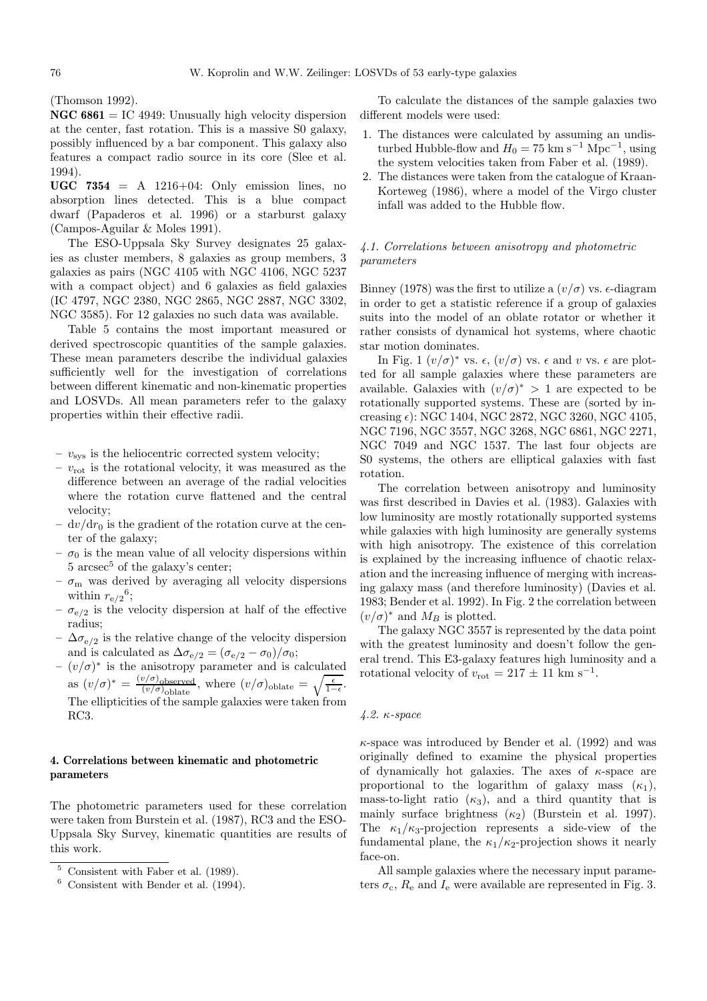(Thomson 1992).

**NGC 6861** = IC 4949: Unusually high velocity dispersion at the center, fast rotation. This is a massive S0 galaxy, possibly influenced by a bar component. This galaxy also features a compact radio source in its core (Slee et al. 1994).

**UGC 7354** = A  $1216+04$ : Only emission lines, no absorption lines detected. This is a blue compact dwarf (Papaderos et al. 1996) or a starburst galaxy (Campos-Aguilar & Moles 1991).

The ESO-Uppsala Sky Survey designates 25 galaxies as cluster members, 8 galaxies as group members, 3 galaxies as pairs (NGC 4105 with NGC 4106, NGC 5237 with a compact object) and 6 galaxies as field galaxies (IC 4797, NGC 2380, NGC 2865, NGC 2887, NGC 3302, NGC 3585). For 12 galaxies no such data was available.

Table 5 contains the most important measured or derived spectroscopic quantities of the sample galaxies. These mean parameters describe the individual galaxies sufficiently well for the investigation of correlations between different kinematic and non-kinematic properties and LOSVDs. All mean parameters refer to the galaxy properties within their effective radii.

 $v_{\rm sys}$  is the heliocentric corrected system velocity;

- **–** vrot is the rotational velocity, it was measured as the difference between an average of the radial velocities where the rotation curve flattened and the central velocity;
- $dv/dr_0$  is the gradient of the rotation curve at the center of the galaxy;
- $-\sigma_0$  is the mean value of all velocity dispersions within  $5 \text{ arcsec}^5$  of the galaxy's center:
- $\sigma_{\rm m}$  was derived by averaging all velocity dispersions within  $r_{e/2}^6$ ;
- $-\sigma_{e/2}$  is the velocity dispersion at half of the effective radius;
- $-$  ∆ $\sigma_{e/2}$  is the relative change of the velocity dispersion and is calculated as  $\Delta \sigma_{e/2} = (\sigma_{e/2} - \sigma_0)/\sigma_0;$
- **–** (v/σ)<sup>∗</sup> is the anisotropy parameter and is calculated as  $(v/\sigma)^* = \frac{(v/\sigma)_{\text{observed}}}{(v/\sigma)_{\text{oblate}}}, \text{ where } (v/\sigma)_{\text{oblate}} = \sqrt{\frac{\epsilon}{1-\epsilon}}.$ The ellipticities of the sample galaxies were taken from RC3.

# **4. Correlations between kinematic and photometric parameters**

The photometric parameters used for these correlation were taken from Burstein et al. (1987), RC3 and the ESO-Uppsala Sky Survey, kinematic quantities are results of this work.

To calculate the distances of the sample galaxies two different models were used:

- 1. The distances were calculated by assuming an undisturbed Hubble-flow and  $H_0 = 75$  km s<sup>-1</sup> Mpc<sup>-1</sup>, using the system velocities taken from Faber et al. (1989).
- 2. The distances were taken from the catalogue of Kraan-Korteweg (1986), where a model of the Virgo cluster infall was added to the Hubble flow.

# 4.1. Correlations between anisotropy and photometric parameters

Binney (1978) was the first to utilize a  $(v/\sigma)$  vs.  $\epsilon$ -diagram in order to get a statistic reference if a group of galaxies suits into the model of an oblate rotator or whether it rather consists of dynamical hot systems, where chaotic star motion dominates.

In Fig. 1  $(v/\sigma)^*$  vs.  $\epsilon$ ,  $(v/\sigma)$  vs.  $\epsilon$  and v vs.  $\epsilon$  are plotted for all sample galaxies where these parameters are available. Galaxies with  $(v/\sigma)^* > 1$  are expected to be rotationally supported systems. These are (sorted by increasing  $\epsilon$ : NGC 1404, NGC 2872, NGC 3260, NGC 4105, NGC 7196, NGC 3557, NGC 3268, NGC 6861, NGC 2271, NGC 7049 and NGC 1537. The last four objects are S0 systems, the others are elliptical galaxies with fast rotation.

The correlation between anisotropy and luminosity was first described in Davies et al. (1983). Galaxies with low luminosity are mostly rotationally supported systems while galaxies with high luminosity are generally systems with high anisotropy. The existence of this correlation is explained by the increasing influence of chaotic relaxation and the increasing influence of merging with increasing galaxy mass (and therefore luminosity) (Davies et al. 1983; Bender et al. 1992). In Fig. 2 the correlation between  $(v/\sigma)^*$  and  $M_B$  is plotted.

The galaxy NGC 3557 is represented by the data point with the greatest luminosity and doesn't follow the general trend. This E3-galaxy features high luminosity and a rotational velocity of  $v_{\text{rot}} = 217 \pm 11 \text{ km s}^{-1}$ .

## 4.2. κ-space

 $\kappa$ -space was introduced by Bender et al. (1992) and was originally defined to examine the physical properties of dynamically hot galaxies. The axes of  $\kappa$ -space are proportional to the logarithm of galaxy mass  $(\kappa_1)$ , mass-to-light ratio  $(\kappa_3)$ , and a third quantity that is mainly surface brightness  $(\kappa_2)$  (Burstein et al. 1997). The  $\kappa_1/\kappa_3$ -projection represents a side-view of the fundamental plane, the  $\kappa_1/\kappa_2$ -projection shows it nearly face-on.

All sample galaxies where the necessary input parameters  $\sigma_c$ ,  $R_e$  and  $I_e$  were available are represented in Fig. 3.

<sup>5</sup> Consistent with Faber et al. (1989).

Consistent with Bender et al. (1994).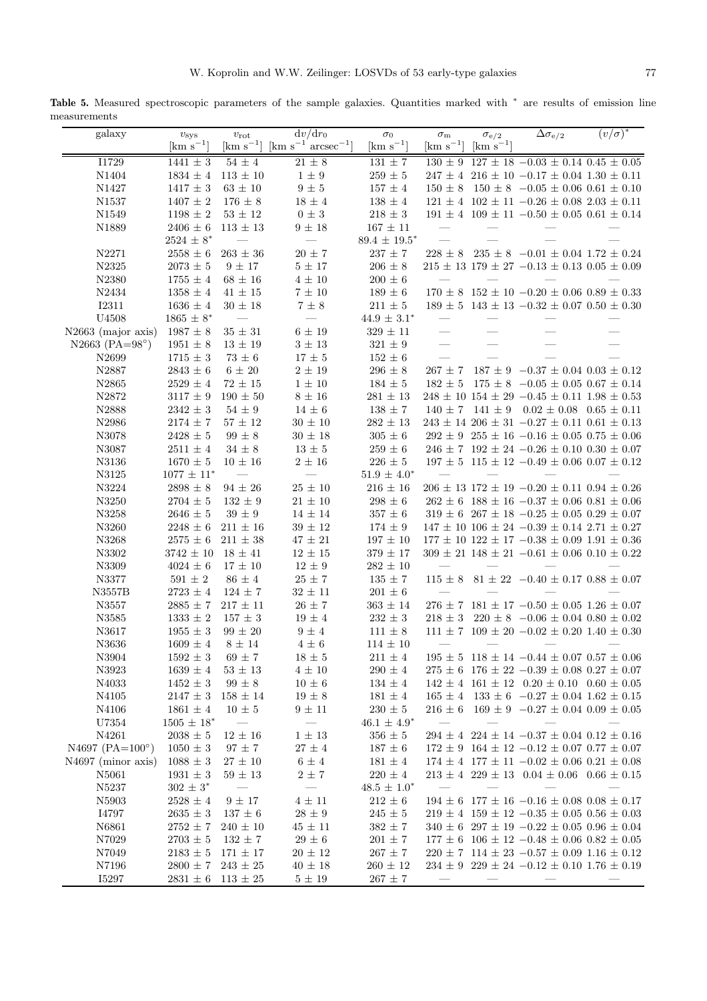Table 5. Measured spectroscopic parameters of the sample galaxies. Quantities marked with <sup>∗</sup> are results of emission line measurements

| galaxy                     | $v_{\rm sys}$                       | $v_{\rm rot}$                | $dv/dr_0$                                                                                                              | $\sigma_0$                       | $\sigma_{\rm m}$         | $\sigma_{\rm e/2}$            | $\Delta \sigma_{\rm e/2}$                                                                                              | $(v/\sigma)^*$ |
|----------------------------|-------------------------------------|------------------------------|------------------------------------------------------------------------------------------------------------------------|----------------------------------|--------------------------|-------------------------------|------------------------------------------------------------------------------------------------------------------------|----------------|
|                            | $\rm [km~s^{-1}]$                   |                              | $\lceil \mathrm{km} \; \mathrm{s}^{-1} \rceil \; \lceil \mathrm{km} \; \mathrm{s}^{-1} \; \mathrm{arcsec}^{-1} \rceil$ | $\mathrm{[km\ s^{-1}]}$          | $\rm [km\;s^{-1}]$       | $\lfloor km \ s^{-1} \rfloor$ |                                                                                                                        |                |
| I1729                      | $1441 \pm 3$                        | $54\pm4$                     | $21 \pm 8$                                                                                                             | $131 \pm 7$                      |                          |                               | $130 \pm 9$ 127 ± 18 -0.03 ± 0.14 0.45 ± 0.05                                                                          |                |
| N1404                      | $1834 \pm 4$                        | $113\,\pm\,10$               | $1\,\pm\,9$                                                                                                            | $259\,\pm\,5$                    |                          |                               | $247 \pm 4$ 216 $\pm$ 10 -0.17 $\pm$ 0.04 1.30 $\pm$ 0.11                                                              |                |
| N1427                      | $1417 \pm 3$                        | $63\,\pm\,10$                | $9\,\pm\,5$                                                                                                            | $157\,\pm\,4$                    |                          |                               | $150 \pm 8$ $150 \pm 8$ $-0.05 \pm 0.06$ $0.61 \pm 0.10$                                                               |                |
| N1537                      | $1407\,\pm\,2$                      | $176 \pm 8$                  | $18\,\pm\,4$                                                                                                           | $138\,\pm\,4$                    |                          |                               | $121 \pm 4$ $102 \pm 11$ $-0.26 \pm 0.08$ $2.03 \pm 0.11$                                                              |                |
| N1549                      | $1198 \pm 2$                        | $53\,\pm\,12$                | $0\,\pm\,3$                                                                                                            | $218\,\pm\,3$                    |                          |                               | $191 \pm 4$ $109 \pm 11$ $-0.50 \pm 0.05$ $0.61 \pm 0.14$                                                              |                |
| N1889                      | $2406 \pm 6$                        | $113 \pm 13$                 | $9\,\pm\,18$                                                                                                           | $167\,\pm\,11$                   |                          |                               |                                                                                                                        |                |
|                            | $2524 \pm 8^*$                      |                              |                                                                                                                        | $89.4 \pm 19.5^*$                |                          |                               |                                                                                                                        |                |
| N2271<br>N2325             | $2558 \pm 6$<br>$2073 \pm 5$        | $263\,\pm\,36$<br>$9 \pm 17$ | $20\,\pm\,7$<br>$5\,\pm\,17$                                                                                           | $237 \pm 7$<br>$206\,\pm\,8$     |                          |                               | $228 \pm 8$ $235 \pm 8$ $-0.01 \pm 0.04$ $1.72 \pm 0.24$<br>$215 \pm 13$ 179 $\pm$ 27 -0.13 $\pm$ 0.13 0.05 $\pm$ 0.09 |                |
| N2380                      | $1755 \pm 4$                        | $68\,\pm\,16$                | $4\,\pm\,10$                                                                                                           | $200 \pm 6$                      | $\overline{\phantom{0}}$ |                               |                                                                                                                        |                |
| N2434                      | $1358 \pm 4$                        | $41\,\pm\,15$                | $7\,\pm\,10$                                                                                                           | $189\,\pm\,6$                    |                          |                               | $170 \pm 8$ $152 \pm 10$ $-0.20 \pm 0.06$ $0.89 \pm 0.33$                                                              |                |
| <b>I2311</b>               | $1636 \pm 4$                        | $30 \pm 18$                  | $7\pm8$                                                                                                                | $211 \pm 5$                      |                          |                               | $189 \pm 5$ 143 $\pm$ 13 -0.32 $\pm$ 0.07 0.50 $\pm$ 0.30                                                              |                |
| U4508                      | $1865\,\pm\,8^*$                    |                              |                                                                                                                        | $44.9\,\pm\,3.1^*$               |                          |                               |                                                                                                                        |                |
| N2663 (major axis)         | $1987 \pm 8$                        | $35\,\pm\,31$                | $6\,\pm\,19$                                                                                                           | $329\,\pm\,11$                   | $\overline{\phantom{m}}$ |                               |                                                                                                                        |                |
| N2663 (PA= $98^{\circ}$ )  | $1951 \pm 8$                        | $13\,\pm\,19$                | $3\,\pm\,13$                                                                                                           | $321\,\pm\,9$                    |                          |                               |                                                                                                                        |                |
| N2699                      | $1715\,\pm\,3$                      | $73\,\pm\,6$                 | $17\,\pm\,5$                                                                                                           | $152\,\pm\,6$                    | $\equiv$                 | $\overline{\phantom{0}}$      |                                                                                                                        |                |
| N2887                      | $2843\,\pm\,6$                      | $6\,\pm\,20$                 | $2\,\pm\,19$                                                                                                           | $296\,\pm\,8$                    |                          |                               | $267 \pm 7$ 187 $\pm$ 9 -0.37 $\pm$ 0.04 0.03 $\pm$ 0.12                                                               |                |
| N2865                      | $2529\,\pm\,4$                      | $72 \pm 15$                  | $1\,\pm\,10$                                                                                                           | $184 \pm 5$                      |                          |                               | $182 \pm 5$ $175 \pm 8$ $-0.05 \pm 0.05$ $0.67 \pm 0.14$                                                               |                |
| N2872                      | $3117\,\pm\,9$                      | $190\,\pm\,50$               | $8\,\pm\,16$                                                                                                           | $281\,\pm\,13$                   |                          |                               | $248 \pm 10$ 154 $\pm$ 29 -0.45 $\pm$ 0.11 1.98 $\pm$ 0.53                                                             |                |
| N2888                      | $2342\,\pm\,3$                      | $54 \pm 9$                   | $14\,\pm\,6$                                                                                                           | $138\,\pm\,7$                    |                          |                               | $140 \pm 7$ $141 \pm 9$ $0.02 \pm 0.08$ $0.65 \pm 0.11$                                                                |                |
| N2986                      | $2174 \pm 7$                        | $57\,\pm\,12$                | $30\,\pm\,10$                                                                                                          | $282\,\pm\,13$                   |                          |                               | $243 \pm 14$ $206 \pm 31$ $-0.27 \pm 0.11$ $0.61 \pm 0.13$                                                             |                |
| N3078                      | $2428 \pm 5$                        | $99\,\pm\,8$                 | $30\,\pm\,18$                                                                                                          | $305\,\pm\,6$                    |                          |                               | $292 \pm 9$ $255 \pm 16$ $-0.16 \pm 0.05$ $0.75 \pm 0.06$                                                              |                |
| N3087                      | $2511 \pm 4$                        | $34 \pm 8$                   | $13\pm5$                                                                                                               | $259\,\pm\,6$                    |                          |                               | $246 \pm 7$ 192 $\pm$ 24 -0.26 $\pm$ 0.10 0.30 $\pm$ 0.07                                                              |                |
| N3136                      | $1670 \pm 5$                        | $10\,\pm\,16$                | $2\,\pm\,16$                                                                                                           | $226 \pm 5$                      |                          |                               | $197 \pm 5$ 115 $\pm$ 12 -0.49 $\pm$ 0.06 0.07 $\pm$ 0.12                                                              |                |
| N3125                      | $1077 \pm 11^{*}$                   |                              | $\frac{1}{2}$                                                                                                          | $51.9 \pm 4.0^*$                 | $\equiv$                 | $\overline{\phantom{m}}$      |                                                                                                                        |                |
| N3224                      | $2898\,\pm\,8$                      | $94\,\pm\,26$                | $25\,\pm\,10$                                                                                                          | $216\,\pm\,16$                   |                          |                               | $206 \pm 13$ 172 $\pm$ 19 -0.20 $\pm$ 0.11 0.94 $\pm$ 0.26                                                             |                |
| N3250                      | $2704\,\pm\,5$                      | $132\,\pm\,9$                | $21\,\pm\,10$                                                                                                          | $298\,\pm\,6$                    |                          |                               | $262 \pm 6$ 188 $\pm$ 16 -0.37 $\pm$ 0.06 0.81 $\pm$ 0.06                                                              |                |
| N3258                      | $2646 \pm 5$                        | $39\,\pm\,9$                 | $14\,\pm\,14$                                                                                                          | $357\,\pm\,6$                    |                          |                               | $319 \pm 6$ 267 $\pm$ 18 -0.25 $\pm$ 0.05 0.29 $\pm$ 0.07                                                              |                |
| N3260                      | $2248 \pm 6$                        | $211 \pm 16$                 | $39\,\pm\,12$                                                                                                          | $174\,\pm\,9$                    |                          |                               | $147\,\pm\,10$ $106\,\pm\,24$ $\,-0.39\,\pm\,0.14$ $2.71\,\pm\,0.27$                                                   |                |
| N3268                      | $2575 \pm 6$                        | $211 \pm 38$                 | $47\,\pm\,21$<br>$12\,\pm\,15$                                                                                         | $197\,\pm\,10$                   |                          |                               | $177 \pm 10$ $122 \pm 17$ $-0.38 \pm 0.09$ $1.91 \pm 0.36$                                                             |                |
| N3302<br>N3309             | $3742\,\pm\,10$<br>$4024 \pm 6$     | $18 \pm 41$<br>$17 \pm 10$   | $12\,\pm\,9$                                                                                                           | $379\,\pm\,17$<br>$282\,\pm\,10$ |                          |                               | $309 \pm 21$ 148 $\pm$ 21 -0.61 $\pm$ 0.06 0.10 $\pm$ 0.22                                                             |                |
| N3377                      | $591\,\pm\,2$                       | $86\pm4$                     | $25\,\pm\,7$                                                                                                           | $135 \pm 7$                      |                          |                               | $115 \pm 8$ 81 $\pm$ 22 -0.40 $\pm$ 0.17 0.88 $\pm$ 0.07                                                               |                |
| N3557B                     | $2723 \pm 4$                        | $124 \pm 7$                  | $32\,\pm\,11$                                                                                                          | $201\,\pm\,6$                    |                          |                               |                                                                                                                        |                |
| N3557                      | $2885 \pm 7$                        | $217 \pm 11$                 | $26\,\pm\,7$                                                                                                           | $363\,\pm\,14$                   |                          |                               | $276 \pm 7$ 181 $\pm$ 17 -0.50 $\pm$ 0.05 1.26 $\pm$ 0.07                                                              |                |
| N3585                      | $1333\,\pm\,2$                      | $157\pm3$                    | $19\,\pm\,4$                                                                                                           | $232\,\pm\,3$                    |                          |                               | $218 \pm 3$ 220 $\pm 8$ -0.06 $\pm$ 0.04 0.80 $\pm$ 0.02                                                               |                |
| N3617                      | $1955\,\pm\,3$                      | $99\,\pm\,20$                | $9\,\pm\,4$                                                                                                            | $111\,\pm\,8$                    |                          |                               | $111 \pm 7$ $109 \pm 20$ $-0.02 \pm 0.20$ $1.40 \pm 0.30$                                                              |                |
| N3636                      | $1609 \pm 4$                        | $8\,\pm\,14$                 | $4\,\pm\,6$                                                                                                            | $114\,\pm\,10$                   |                          |                               |                                                                                                                        |                |
| $\rm N3904$                | $1592\,\pm\,3$ $\quad$ $69\,\pm\,7$ |                              | $18\,\pm\,5$                                                                                                           | $211 \pm 4$                      |                          |                               | $195 \pm 5$ 118 $\pm$ 14 -0.44 $\pm$ 0.07 0.57 $\pm$ 0.06                                                              |                |
| N3923                      | $1639 \pm 4$                        | $53 \pm 13$                  | $4 \pm 10$                                                                                                             | $290 \pm 4$                      |                          |                               | $275 \pm 6$ 176 $\pm$ 22 -0.39 $\pm$ 0.08 0.27 $\pm$ 0.07                                                              |                |
| N4033                      | $1452 \pm 3$                        | $99 \pm 8$                   | $10 \pm 6$                                                                                                             | $134 \pm 4$                      |                          |                               | $142 \pm 4$ 161 $\pm$ 12 0.20 $\pm$ 0.10 0.60 $\pm$ 0.05                                                               |                |
| N4105                      | $2147 \pm 3$                        | $158 \pm 14$                 | $19 \pm 8$                                                                                                             | $181 \pm 4$                      |                          |                               | $165 \pm 4$ 133 $\pm$ 6 -0.27 $\pm$ 0.04 1.62 $\pm$ 0.15                                                               |                |
| N4106                      | $1861 \pm 4$                        | $10 \pm 5$                   | $9 \pm 11$                                                                                                             | $230 \pm 5$                      |                          |                               | $216 \pm 6$ $169 \pm 9$ $-0.27 \pm 0.04$ $0.09 \pm 0.05$                                                               |                |
| U7354                      | $1505 \pm 18^*$                     | $\sim$ $-$                   | $\overline{\phantom{m}}$                                                                                               | $46.1 \pm 4.9^*$                 | $\overline{\phantom{0}}$ | $\overline{\phantom{m}}$      | $\overline{\phantom{m}}$                                                                                               |                |
| N4261                      | $2038 \pm 5$                        | $12 \pm 16$                  | $1 \pm 13$                                                                                                             | $356 \pm 5$                      |                          |                               | $294\,\pm\,4\  \  224\,\pm\,14\ -0.37\,\pm\,0.04\  \, 0.12\,\pm\,0.16$                                                 |                |
| N4697 ( $PA=100^{\circ}$ ) | $1050 \pm 3$                        | $97 \pm 7$                   | $27 \pm 4$                                                                                                             | $187 \pm 6$                      |                          |                               | $172 \pm 9$ 164 $\pm$ 12 -0.12 $\pm$ 0.07 0.77 $\pm$ 0.07                                                              |                |
| $N4697$ (minor axis)       | $1088\,\pm\,3$                      | $27 \pm 10$                  | $6 \pm 4$                                                                                                              | $181 \pm 4$                      |                          |                               | $174 \pm 4$ 177 $\pm$ 11 $-0.02 \pm 0.06$ 0.21 $\pm$ 0.08                                                              |                |
| N5061                      | $1931 \pm 3$                        | $59 \pm 13$                  | $2 \pm 7$                                                                                                              | $220 \pm 4$                      |                          |                               | $213 \pm 4$ 229 $\pm$ 13 0.04 $\pm$ 0.06 0.66 $\pm$ 0.15                                                               |                |
| N5237                      | $302 \pm 3^*$                       | $\hspace{0.05cm}$            |                                                                                                                        | $48.5 \pm 1.0^*$                 |                          |                               |                                                                                                                        |                |
| N5903                      | $2528 \pm 4$                        | $9 \pm 17$                   | $4 \pm 11$                                                                                                             | $212 \pm 6$                      |                          |                               | $194 \pm 6$ 177 $\pm$ 16 -0.16 $\pm$ 0.08 0.08 $\pm$ 0.17                                                              |                |
| I4797                      | $2635 \pm 3$                        | $137 \pm 6$                  | $28 \pm 9$                                                                                                             | $245 \pm 5$                      |                          |                               | $219 \pm 4$ 159 $\pm$ 12 -0.35 $\pm$ 0.05 0.56 $\pm$ 0.03                                                              |                |
| N6861                      | $2752 \,\pm\, 7$                    | $240 \pm 10$                 | $45 \pm 11$                                                                                                            | $382 \pm 7$                      |                          |                               | $340 \pm 6$ 297 $\pm$ 19 $-0.22 \pm 0.05$ 0.96 $\pm$ 0.04                                                              |                |
| N7029                      | $2703 \pm 5$                        | $132 \pm 7$                  | $29 \pm 6$                                                                                                             | $201 \pm 7$                      |                          |                               | $177 \pm 6$ 106 $\pm$ 12 -0.48 $\pm$ 0.06 0.82 $\pm$ 0.05                                                              |                |
| N7049<br>N7196             | $2183 \pm 5$<br>$2800 \pm 7$        | $171 \pm 17$<br>$243 \pm 25$ | $20 \pm 12$<br>$40 \pm 18$                                                                                             | $267 \pm 7$<br>$260\,\pm\,12$    |                          |                               | $220 \pm 7$ 114 $\pm$ 23 -0.57 $\pm$ 0.09 1.16 $\pm$ 0.12<br>$234 \pm 9$ $229 \pm 24$ $-0.12 \pm 0.10$ $1.76 \pm 0.19$ |                |
| I5297                      |                                     | $2831 \pm 6$ 113 $\pm 25$    | $5\pm19$                                                                                                               | $267 \pm 7$                      |                          |                               |                                                                                                                        |                |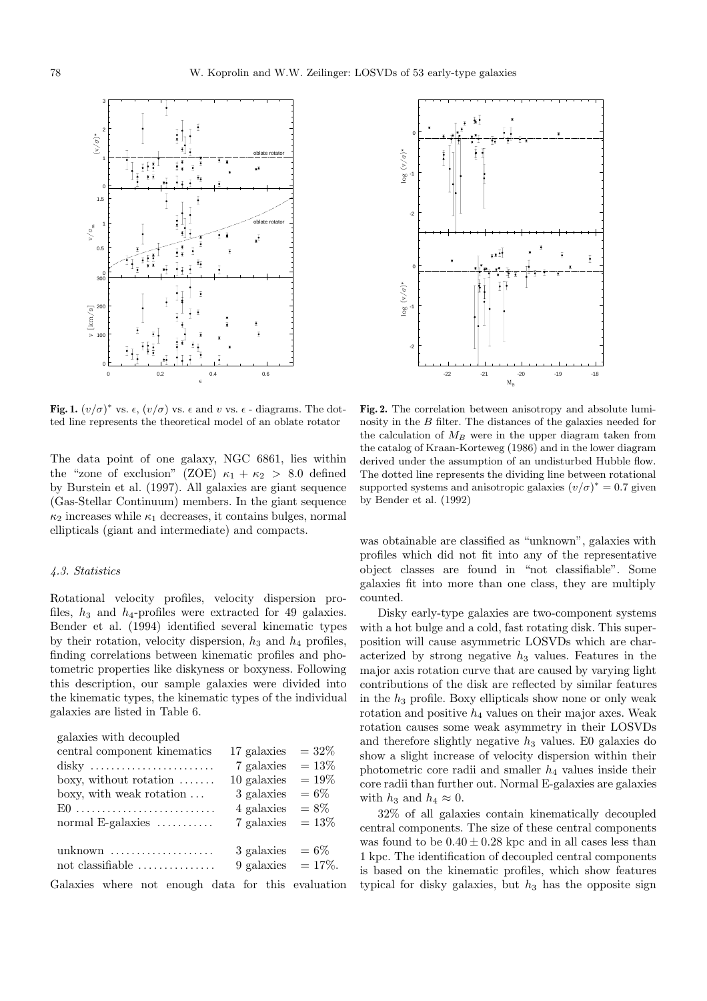

**Fig. 1.**  $(v/\sigma)^*$  vs.  $\epsilon$ ,  $(v/\sigma)$  vs.  $\epsilon$  and v vs.  $\epsilon$  - diagrams. The dotted line represents the theoretical model of an oblate rotator

The data point of one galaxy, NGC 6861, lies within the "zone of exclusion" (ZOE)  $\kappa_1 + \kappa_2 > 8.0$  defined by Burstein et al. (1997). All galaxies are giant sequence (Gas-Stellar Continuum) members. In the giant sequence  $\kappa_2$  increases while  $\kappa_1$  decreases, it contains bulges, normal ellipticals (giant and intermediate) and compacts.

## 4.3. Statistics

Rotational velocity profiles, velocity dispersion profiles,  $h_3$  and  $h_4$ -profiles were extracted for 49 galaxies. Bender et al. (1994) identified several kinematic types by their rotation, velocity dispersion,  $h_3$  and  $h_4$  profiles, finding correlations between kinematic profiles and photometric properties like diskyness or boxyness. Following this description, our sample galaxies were divided into the kinematic types, the kinematic types of the individual galaxies are listed in Table 6.

galaxies with decoupled

| central component kinematics                       | 17 galaxies           | $= 32\%$ |
|----------------------------------------------------|-----------------------|----------|
| disky                                              | 7 galaxies            | $= 13\%$ |
| boxy, without rotation $\dots\dots$                | 10 galaxies           | $=19\%$  |
| boxy, with weak rotation                           | 3 galaxies            | $= 6\%$  |
| $E0$                                               | 4 galaxies            | $= 8\%$  |
| normal E-galaxies $\dots\dots\dots$                | 7 galaxies            | $= 13\%$ |
| unknown                                            | 3 galaxies $= 6\%$    |          |
| not classifiable                                   | 9 galaxies $= 17\%$ . |          |
| Galaxies where not enough data for this evaluation |                       |          |



**Fig. 2.** The correlation between anisotropy and absolute luminosity in the B filter. The distances of the galaxies needed for the calculation of  $M_B$  were in the upper diagram taken from the catalog of Kraan-Korteweg (1986) and in the lower diagram derived under the assumption of an undisturbed Hubble flow. The dotted line represents the dividing line between rotational supported systems and anisotropic galaxies  $(v/\sigma)^* = 0.7$  given by Bender et al. (1992)

was obtainable are classified as "unknown", galaxies with profiles which did not fit into any of the representative object classes are found in "not classifiable". Some galaxies fit into more than one class, they are multiply counted.

Disky early-type galaxies are two-component systems with a hot bulge and a cold, fast rotating disk. This superposition will cause asymmetric LOSVDs which are characterized by strong negative  $h_3$  values. Features in the major axis rotation curve that are caused by varying light contributions of the disk are reflected by similar features in the  $h_3$  profile. Boxy ellipticals show none or only weak rotation and positive  $h_4$  values on their major axes. Weak rotation causes some weak asymmetry in their LOSVDs and therefore slightly negative  $h_3$  values. E0 galaxies do show a slight increase of velocity dispersion within their photometric core radii and smaller  $h_4$  values inside their core radii than further out. Normal E-galaxies are galaxies with  $h_3$  and  $h_4 \approx 0$ .

32% of all galaxies contain kinematically decoupled central components. The size of these central components was found to be  $0.40 \pm 0.28$  kpc and in all cases less than 1 kpc. The identification of decoupled central components is based on the kinematic profiles, which show features typical for disky galaxies, but  $h_3$  has the opposite sign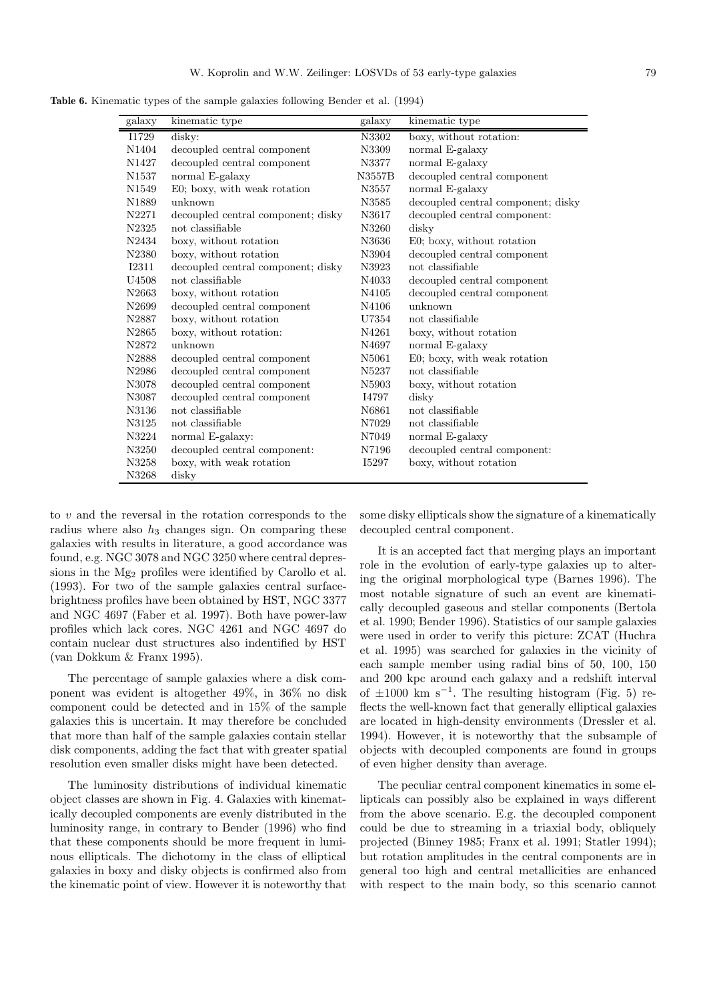**Table 6.** Kinematic types of the sample galaxies following Bender et al. (1994)

| galaxy            | kinematic type                     | galaxy | kinematic type                     |
|-------------------|------------------------------------|--------|------------------------------------|
| I1729             | disky:                             | N3302  | boxy, without rotation:            |
| N1404             | decoupled central component        | N3309  | normal E-galaxy                    |
| N <sub>1427</sub> | decoupled central component        | N3377  | normal E-galaxy                    |
| N1537             | normal E-galaxy                    | N3557B | decoupled central component        |
| N1549             | E0; boxy, with weak rotation       | N3557  | normal E-galaxy                    |
| N <sub>1889</sub> | unknown                            | N3585  | decoupled central component; disky |
| N2271             | decoupled central component; disky | N3617  | decoupled central component:       |
| N2325             | not classifiable                   | N3260  | disky                              |
| N2434             | boxy, without rotation             | N3636  | E0; boxy, without rotation         |
| N2380             | boxy, without rotation             | N3904  | decoupled central component        |
| <b>I2311</b>      | decoupled central component; disky | N3923  | not classifiable                   |
| U4508             | not classifiable                   | N4033  | decoupled central component        |
| N <sub>2663</sub> | boxy, without rotation             | N4105  | decoupled central component        |
| N2699             | decoupled central component        | N4106  | unknown                            |
| N2887             | boxy, without rotation             | U7354  | not classifiable                   |
| N <sub>2865</sub> | boxy, without rotation:            | N4261  | boxy, without rotation             |
| N2872             | unknown                            | N4697  | normal E-galaxy                    |
| N2888             | decoupled central component        | N5061  | E0; boxy, with weak rotation       |
| N2986             | decoupled central component        | N5237  | not classifiable                   |
| N3078             | decoupled central component        | N5903  | boxy, without rotation             |
| N3087             | decoupled central component        | I4797  | disky                              |
| N3136             | not classifiable                   | N6861  | not classifiable                   |
| N3125             | not classifiable                   | N7029  | not classifiable                   |
| N3224             | normal E-galaxy:                   | N7049  | normal E-galaxy                    |
| N3250             | decoupled central component:       | N7196  | decoupled central component:       |
| N3258             | boxy, with weak rotation           | I5297  | boxy, without rotation             |
| N3268             | disky                              |        |                                    |

to v and the reversal in the rotation corresponds to the radius where also  $h_3$  changes sign. On comparing these galaxies with results in literature, a good accordance was found, e.g. NGC 3078 and NGC 3250 where central depressions in the Mg<sub>2</sub> profiles were identified by Carollo et al. (1993). For two of the sample galaxies central surfacebrightness profiles have been obtained by HST, NGC 3377 and NGC 4697 (Faber et al. 1997). Both have power-law profiles which lack cores. NGC 4261 and NGC 4697 do contain nuclear dust structures also indentified by HST (van Dokkum & Franx 1995).

The percentage of sample galaxies where a disk component was evident is altogether 49%, in 36% no disk component could be detected and in 15% of the sample galaxies this is uncertain. It may therefore be concluded that more than half of the sample galaxies contain stellar disk components, adding the fact that with greater spatial resolution even smaller disks might have been detected.

The luminosity distributions of individual kinematic object classes are shown in Fig. 4. Galaxies with kinematically decoupled components are evenly distributed in the luminosity range, in contrary to Bender (1996) who find that these components should be more frequent in luminous ellipticals. The dichotomy in the class of elliptical galaxies in boxy and disky objects is confirmed also from the kinematic point of view. However it is noteworthy that some disky ellipticals show the signature of a kinematically decoupled central component.

It is an accepted fact that merging plays an important role in the evolution of early-type galaxies up to altering the original morphological type (Barnes 1996). The most notable signature of such an event are kinematically decoupled gaseous and stellar components (Bertola et al. 1990; Bender 1996). Statistics of our sample galaxies were used in order to verify this picture: ZCAT (Huchra et al. 1995) was searched for galaxies in the vicinity of each sample member using radial bins of 50, 100, 150 and 200 kpc around each galaxy and a redshift interval of  $\pm 1000$  km s<sup>-1</sup>. The resulting histogram (Fig. 5) reflects the well-known fact that generally elliptical galaxies are located in high-density environments (Dressler et al. 1994). However, it is noteworthy that the subsample of objects with decoupled components are found in groups of even higher density than average.

The peculiar central component kinematics in some ellipticals can possibly also be explained in ways different from the above scenario. E.g. the decoupled component could be due to streaming in a triaxial body, obliquely projected (Binney 1985; Franx et al. 1991; Statler 1994); but rotation amplitudes in the central components are in general too high and central metallicities are enhanced with respect to the main body, so this scenario cannot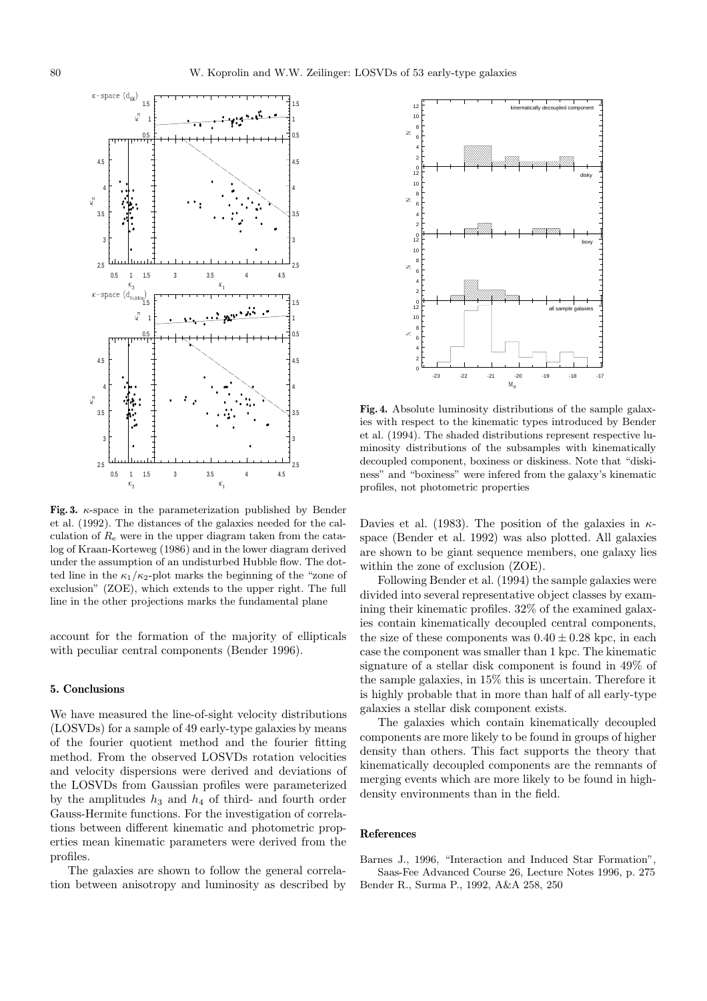

**Fig. 3.** κ-space in the parameterization published by Bender et al. (1992). The distances of the galaxies needed for the calculation of  $R_{\rm e}$  were in the upper diagram taken from the catalog of Kraan-Korteweg (1986) and in the lower diagram derived under the assumption of an undisturbed Hubble flow. The dotted line in the  $\kappa_1/\kappa_2$ -plot marks the beginning of the "zone of exclusion" (ZOE), which extends to the upper right. The full line in the other projections marks the fundamental plane

account for the formation of the majority of ellipticals with peculiar central components (Bender 1996).

#### **5. Conclusions**

We have measured the line-of-sight velocity distributions (LOSVDs) for a sample of 49 early-type galaxies by means of the fourier quotient method and the fourier fitting method. From the observed LOSVDs rotation velocities and velocity dispersions were derived and deviations of the LOSVDs from Gaussian profiles were parameterized by the amplitudes  $h_3$  and  $h_4$  of third- and fourth order Gauss-Hermite functions. For the investigation of correlations between different kinematic and photometric properties mean kinematic parameters were derived from the profiles.

The galaxies are shown to follow the general correlation between anisotropy and luminosity as described by



**Fig. 4.** Absolute luminosity distributions of the sample galaxies with respect to the kinematic types introduced by Bender et al. (1994). The shaded distributions represent respective luminosity distributions of the subsamples with kinematically decoupled component, boxiness or diskiness. Note that "diskiness" and "boxiness" were infered from the galaxy's kinematic profiles, not photometric properties

Davies et al. (1983). The position of the galaxies in  $\kappa$ space (Bender et al. 1992) was also plotted. All galaxies are shown to be giant sequence members, one galaxy lies within the zone of exclusion (ZOE).

Following Bender et al. (1994) the sample galaxies were divided into several representative object classes by examining their kinematic profiles. 32% of the examined galaxies contain kinematically decoupled central components, the size of these components was  $0.40 \pm 0.28$  kpc, in each case the component was smaller than 1 kpc. The kinematic signature of a stellar disk component is found in 49% of the sample galaxies, in 15% this is uncertain. Therefore it is highly probable that in more than half of all early-type galaxies a stellar disk component exists.

The galaxies which contain kinematically decoupled components are more likely to be found in groups of higher density than others. This fact supports the theory that kinematically decoupled components are the remnants of merging events which are more likely to be found in highdensity environments than in the field.

#### **References**

Barnes J., 1996, "Interaction and Induced Star Formation", Saas-Fee Advanced Course 26, Lecture Notes 1996, p. 275 Bender R., Surma P., 1992, A&A 258, 250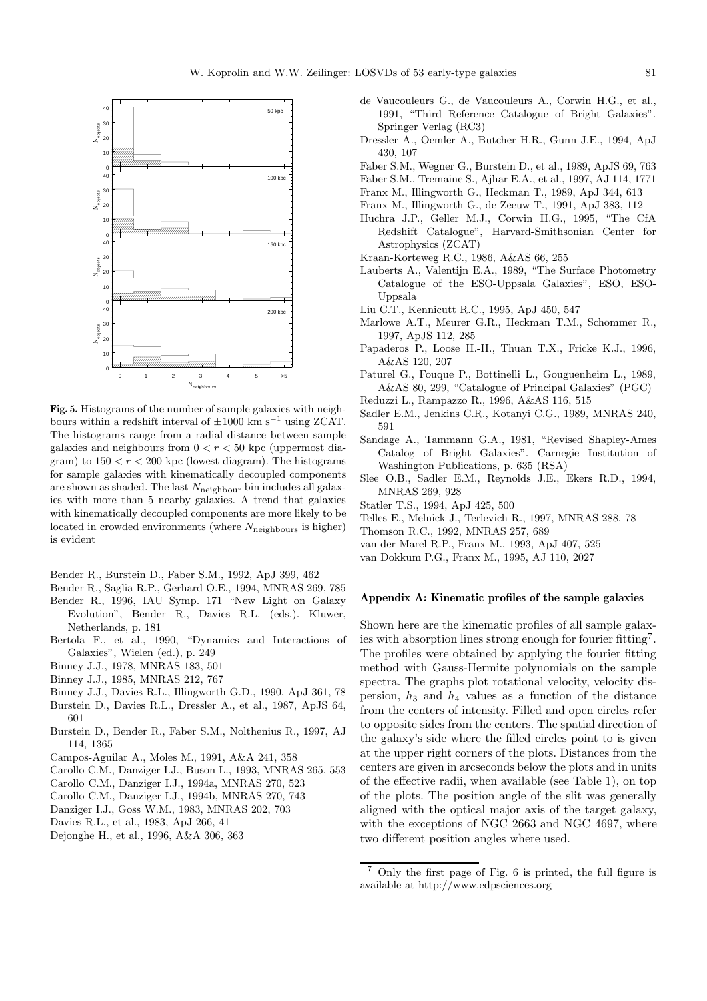

**Fig. 5.** Histograms of the number of sample galaxies with neighbours within a redshift interval of  $\pm 1000$  km s<sup>-1</sup> using ZCAT. The histograms range from a radial distance between sample galaxies and neighbours from  $0 < r < 50$  kpc (uppermost diagram) to  $150 < r < 200$  kpc (lowest diagram). The histograms for sample galaxies with kinematically decoupled components are shown as shaded. The last  $N_{\text{neighbor}}$  bin includes all galaxies with more than 5 nearby galaxies. A trend that galaxies with kinematically decoupled components are more likely to be located in crowded environments (where  $N_{\text{neighbors}}$  is higher) is evident

Bender R., Burstein D., Faber S.M., 1992, ApJ 399, 462

- Bender R., Saglia R.P., Gerhard O.E., 1994, MNRAS 269, 785
- Bender R., 1996, IAU Symp. 171 "New Light on Galaxy Evolution", Bender R., Davies R.L. (eds.). Kluwer, Netherlands, p. 181
- Bertola F., et al., 1990, "Dynamics and Interactions of Galaxies", Wielen (ed.), p. 249
- Binney J.J., 1978, MNRAS 183, 501
- Binney J.J., 1985, MNRAS 212, 767
- Binney J.J., Davies R.L., Illingworth G.D., 1990, ApJ 361, 78
- Burstein D., Davies R.L., Dressler A., et al., 1987, ApJS 64, 601
- Burstein D., Bender R., Faber S.M., Nolthenius R., 1997, AJ 114, 1365
- Campos-Aguilar A., Moles M., 1991, A&A 241, 358
- Carollo C.M., Danziger I.J., Buson L., 1993, MNRAS 265, 553
- Carollo C.M., Danziger I.J., 1994a, MNRAS 270, 523
- Carollo C.M., Danziger I.J., 1994b, MNRAS 270, 743
- Danziger I.J., Goss W.M., 1983, MNRAS 202, 703
- Davies R.L., et al., 1983, ApJ 266, 41
- Dejonghe H., et al., 1996, A&A 306, 363
- de Vaucouleurs G., de Vaucouleurs A., Corwin H.G., et al., 1991, "Third Reference Catalogue of Bright Galaxies". Springer Verlag (RC3)
- Dressler A., Oemler A., Butcher H.R., Gunn J.E., 1994, ApJ 430, 107
- Faber S.M., Wegner G., Burstein D., et al., 1989, ApJS 69, 763
- Faber S.M., Tremaine S., Ajhar E.A., et al., 1997, AJ 114, 1771
- Franx M., Illingworth G., Heckman T., 1989, ApJ 344, 613
- Franx M., Illingworth G., de Zeeuw T., 1991, ApJ 383, 112
- Huchra J.P., Geller M.J., Corwin H.G., 1995, "The CfA Redshift Catalogue", Harvard-Smithsonian Center for Astrophysics (ZCAT)
- Kraan-Korteweg R.C., 1986, A&AS 66, 255
- Lauberts A., Valentijn E.A., 1989, "The Surface Photometry Catalogue of the ESO-Uppsala Galaxies", ESO, ESO-Uppsala
- Liu C.T., Kennicutt R.C., 1995, ApJ 450, 547
- Marlowe A.T., Meurer G.R., Heckman T.M., Schommer R., 1997, ApJS 112, 285
- Papaderos P., Loose H.-H., Thuan T.X., Fricke K.J., 1996, A&AS 120, 207
- Paturel G., Fouque P., Bottinelli L., Gouguenheim L., 1989, A&AS 80, 299, "Catalogue of Principal Galaxies" (PGC)
- Reduzzi L., Rampazzo R., 1996, A&AS 116, 515
- Sadler E.M., Jenkins C.R., Kotanyi C.G., 1989, MNRAS 240, 591
- Sandage A., Tammann G.A., 1981, "Revised Shapley-Ames Catalog of Bright Galaxies". Carnegie Institution of Washington Publications, p. 635 (RSA)
- Slee O.B., Sadler E.M., Reynolds J.E., Ekers R.D., 1994, MNRAS 269, 928
- Statler T.S., 1994, ApJ 425, 500
- Telles E., Melnick J., Terlevich R., 1997, MNRAS 288, 78
- Thomson R.C., 1992, MNRAS 257, 689
- van der Marel R.P., Franx M., 1993, ApJ 407, 525
- van Dokkum P.G., Franx M., 1995, AJ 110, 2027

### **Appendix A: Kinematic profiles of the sample galaxies**

Shown here are the kinematic profiles of all sample galaxies with absorption lines strong enough for fourier fitting<sup>7</sup>. The profiles were obtained by applying the fourier fitting method with Gauss-Hermite polynomials on the sample spectra. The graphs plot rotational velocity, velocity dispersion,  $h_3$  and  $h_4$  values as a function of the distance from the centers of intensity. Filled and open circles refer to opposite sides from the centers. The spatial direction of the galaxy's side where the filled circles point to is given at the upper right corners of the plots. Distances from the centers are given in arcseconds below the plots and in units of the effective radii, when available (see Table 1), on top of the plots. The position angle of the slit was generally aligned with the optical major axis of the target galaxy, with the exceptions of NGC 2663 and NGC 4697, where two different position angles where used.

<sup>7</sup> Only the first page of Fig. 6 is printed, the full figure is available at http://www.edpsciences.org